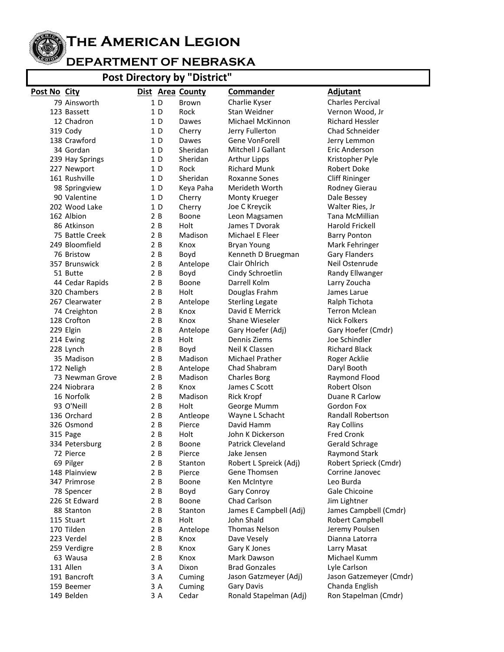

**The American Legion**

## **DEPARTMENT OF NEBRASKA**

## **Post Directory by "District"**

| Post No City |                          |          | Dist Area County   | <b>Commander</b>               | Adjutant                     |
|--------------|--------------------------|----------|--------------------|--------------------------------|------------------------------|
|              | 79 Ainsworth             | 1D       | Brown              | Charlie Kyser                  | <b>Charles Percival</b>      |
|              | 123 Bassett              | 1D       | Rock               | Stan Weidner                   | Vernon Wood, Jr              |
|              | 12 Chadron               | 1D       | Dawes              | Michael McKinnon               | <b>Richard Hessler</b>       |
|              | 319 Cody                 | 1D       | Cherry             | Jerry Fullerton                | Chad Schneider               |
|              | 138 Crawford             | 1D       | <b>Dawes</b>       | Gene VonForell                 | Jerry Lemmon                 |
|              | 34 Gordan                | 1 D      | Sheridan           | Mitchell J Gallant             | Eric Anderson                |
|              | 239 Hay Springs          | 1D       | Sheridan           | <b>Arthur Lipps</b>            | Kristopher Pyle              |
|              | 227 Newport              | 1D       | Rock               | <b>Richard Munk</b>            | Robert Doke                  |
|              | 161 Rushville            | 1D       | Sheridan           | Roxanne Sones                  | <b>Cliff Rininger</b>        |
|              | 98 Springview            | 1D       | Keya Paha          | Merideth Worth                 | Rodney Gierau                |
|              | 90 Valentine             | 1 D      | Cherry             | Monty Krueger                  | Dale Bessey                  |
|              | 202 Wood Lake            | 1D       | Cherry             | Joe C Kreycik                  | Walter Ries, Jr              |
|              | 162 Albion               | 2B       | Boone              | Leon Magsamen                  | Tana McMillian               |
|              | 86 Atkinson              | 2B       | Holt               | James T Dvorak                 | Harold Frickell              |
|              | 75 Battle Creek          | 2B       | Madison            | Michael E Fleer                | <b>Barry Ponton</b>          |
|              | 249 Bloomfield           | 2B       | Knox               | <b>Bryan Young</b>             | Mark Fehringer               |
|              | 76 Bristow               | 2B       | Boyd               | Kenneth D Bruegman             | <b>Gary Flanders</b>         |
|              | 357 Brunswick            | 2B       | Antelope           | Clair Ohlrich                  | Neil Ostenrude               |
|              | 51 Butte                 | 2B       | Boyd               | Cindy Schroetlin               | Randy Ellwanger              |
|              | 44 Cedar Rapids          | 2B       | Boone              | Darrell Kolm                   | Larry Zoucha                 |
|              | 320 Chambers             | 2B       | Holt               | Douglas Frahm                  | James Larue                  |
|              | 267 Clearwater           | 2B       | Antelope           | <b>Sterling Legate</b>         | Ralph Tichota                |
|              | 74 Creighton             | 2B       | Knox               | David E Merrick                | <b>Terron Mclean</b>         |
|              | 128 Crofton              | 2B       | Knox               | Shane Wieseler                 | <b>Nick Folkers</b>          |
|              | 229 Elgin                | 2B       | Antelope           | Gary Hoefer (Adj)              | Gary Hoefer (Cmdr)           |
|              | 214 Ewing                | 2B       | Holt               | Dennis Ziems                   | Joe Schindler                |
|              | 228 Lynch                | 2B       | Boyd               | Neil K Classen                 | <b>Richard Black</b>         |
|              | 35 Madison               | 2B       | Madison            | Michael Prather                | Roger Acklie                 |
|              | 172 Neligh               | 2B       | Antelope           | Chad Shabram                   | Daryl Booth                  |
|              | 73 Newman Grove          | 2B       | Madison            | <b>Charles Borg</b>            | Raymond Flood                |
|              | 224 Niobrara             | 2B       | Knox               | James C Scott                  | Robert Olson                 |
|              | 16 Norfolk<br>93 O'Neill | 2B<br>2B | Madison<br>Holt    | <b>Rick Kropf</b>              | Duane R Carlow<br>Gordon Fox |
|              | 136 Orchard              | 2B       |                    | George Mumm<br>Wayne L Schacht | Randall Robertson            |
|              | 326 Osmond               | 2B       | Antleope<br>Pierce | David Hamm                     | <b>Ray Collins</b>           |
|              | 315 Page                 | 2B       | Holt               | John K Dickerson               | <b>Fred Cronk</b>            |
|              | 334 Petersburg           | 2B       | Boone              | Patrick Cleveland              | Gerald Schrage               |
|              | 72 Pierce                | 2B       | Pierce             | Jake Jensen                    | <b>Raymond Stark</b>         |
|              | 69 Pilger                | 2B       | Stanton            | Robert L Spreick (Adj)         | Robert Sprieck (Cmdr)        |
|              | 148 Plainview            | 2B       | Pierce             | Gene Thomsen                   | Corrine Janovec              |
|              | 347 Primrose             | 2B       | Boone              | Ken McIntyre                   | Leo Burda                    |
|              | 78 Spencer               | 2B       | Boyd               | Gary Conroy                    | Gale Chicoine                |
|              | 226 St Edward            | 2B       | Boone              | Chad Carlson                   | Jim Lightner                 |
|              | 88 Stanton               | 2B       | Stanton            | James E Campbell (Adj)         | James Campbell (Cmdr)        |
|              | 115 Stuart               | 2B       | Holt               | John Shald                     | Robert Campbell              |
|              | 170 Tilden               | 2B       | Antelope           | <b>Thomas Nelson</b>           | Jeremy Poulsen               |
|              | 223 Verdel               | 2 B      | Knox               | Dave Vesely                    | Dianna Latorra               |
|              | 259 Verdigre             | 2B       | Knox               | Gary K Jones                   | Larry Masat                  |
|              | 63 Wausa                 | 2B       | Knox               | Mark Dawson                    | Michael Kumm                 |
|              | 131 Allen                | 3 A      | Dixon              | <b>Brad Gonzales</b>           | Lyle Carlson                 |
|              | 191 Bancroft             | 3 A      | Cuming             | Jason Gatzmeyer (Adj)          | Jason Gatzemeyer (Cmdr)      |
|              | 159 Beemer               | 3 A      | Cuming             | Gary Davis                     | Chanda English               |
|              | 149 Belden               | 3A       | Cedar              | Ronald Stapelman (Adj)         | Ron Stapelman (Cmdr)         |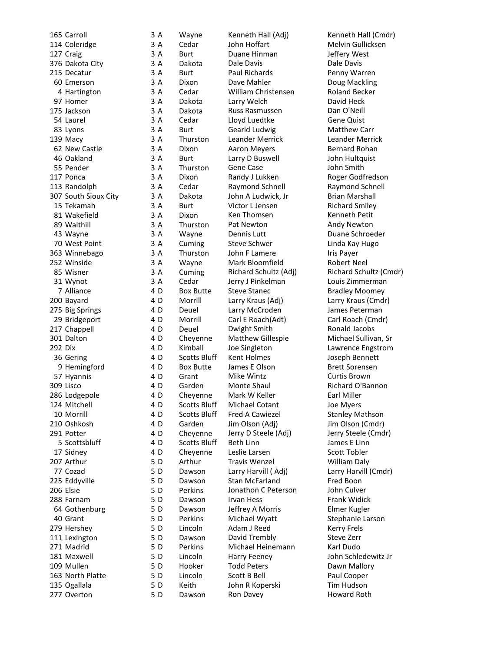165 Carroll 114 Coleridge 127 Craig 376 Dakota City 215 Decatur 60 Emerson 4 Hartington 97 Homer 175 Jackson 54 Laurel 83 Lyons 139 Macy 62 New Castle 46 Oakland 55 Pender 117 Ponca 113 Randolph 307 South Sioux City 15 Tekamah 81 Wakefield 89 Walthill 43 Wayne 70 West Point 363 Winnebago 252 Winside 85 Wisner 31 Wynot 7 Alliance 200 Bayard 275 Big Springs 29 Bridgeport 217 Chappell 301 Dalton 292 Dix 36 Gering 9 Hemingford 57 Hyannis 309 Lisco 286 Lodgepole 124 Mitchell 10 Morrill 210 Oshkosh 291 Potter 5 Scottsbluff 17 Sidney 207 Arthur 77 Cozad 225 Eddyville 206 Elsie 288 Farnam 64 Gothenburg 40 Grant 279 Hershey 111 Lexington 271 Madrid 181 Maxwell 109 Mullen 163 North Platte 135 Ogallala 277 Overton

Wayne Kenneth Hall (Adj) Kenneth Hall (Cmdr) Cedar John Hoffart Melvin Gullicksen Burt Duane Hinman Deffery West Dakota Dale Davis **Dale Davis**<br>1994 Bang Davis Dale Davis Burt Penny War Burt Paul Richards Penny Warren Dixon Dave Mahler Doug Mackling Cedar Milliam Christensen Roland Becker<br>Dakota Larry Welch **Bakota** David Heck Dakota Larry Welch Dakota Russ Rasmussen Dan O'Neill Cedar Lloyd Luedtke Gene Quist Burt Gearld Ludwig Matthew Carr A Thurston Leander Merrick Leander Merrick Dixon Aaron Meyers Bernard Rohan Burt Larry D Buswell John Hultquist Thurston Gene Case **Gase State State State Service Case**<br>Dixon Randy J Lukken **Godf** Roger Godf A Cedar Raymond Schnell Raymond Schnell Dakota John A Ludwick, Jr Brian Marshall Burt Victor L Jensen Richard Smiley A Dixon Ken Thomsen Kenneth Petit Thurston Pat Newton **Andy Newton** Wayne Dennis Lutt Duane Schroeder Cuming Steve Schwer Cuming Cuming Steve Schwer Linda Kay Hugo Thurston John F Lamere Iris Payer Wayne Mark Bloomfield Robert Neel Cuming Richard Schultz (Adj) Richard Schultz (Cmdr) Cedar Jerry J Pinkelman Louis Zimmerman Box Butte Steve Stanec Bradley Moomey Morrill Larry Kraus (Adj) Larry Kraus (Cmdr) Deuel Larry McCroden James Peterman Morrill Carl E Roach(Adt) Carl Roach (Cmdr) Deuel Dwight Smith **Ronald Jacobs** Cheyenne Matthew Gillespie Michael Sullivan, Sr Kimball Joe Singleton Lawrence Engstrom<br>Scotts Bluff Kent Holmes Scotts Bennett Box Butte James E Olson Brett Sorensen Grant Mike Wintz Curtis Brown Garden Monte Shaul Richard O'Bannon Cheyenne Mark W Keller **Earl Miller** Scotts Bluff Michael Cotant Joe Myers Scotts Bluff Fred A Cawiezel Stanley Mathson Garden Jim Olson (Adj) Jim Olson (Cmdr) Cheyenne Jerry D Steele (Adj) Jerry Steele (Cmdr) Scotts Bluff Beth Linn James E Linn Cheyenne Leslie Larsen Scott Tobler<br>Arthur Travis Wenzel San William Dalv Travis Wenzel William Daly Dawson Larry Harvill (Adj) Larry Harvill (Cmdr) Dawson Stan McFarland Fred Boon Perkins Jonathon C Peterson John Culver Dawson Irvan Hess Frank Widick Dawson Jeffrey A Morris Elmer Kugler Perkins Michael Wyatt Stephanie Larson Lincoln Adam J Reed Kerry Frels Dawson David Trembly Steve Zerr Perkins Michael Heinemann Karl Dudo Lincoln Harry Feeney **Good Good Barry Feeney** John Schledewitz Jr<br>Hooker Todd Peters **Good Barry Dawn Mallory** Hooker Todd Peters **Dawn Mallory** Lincoln Scott B Bell Paul Cooper Keith John R Koperski Tim Hudson Dawson Ron Davey **Romes** Howard Roth

3

3

3

3

3 A

3

3

3

3

3

3

3

3 A

3

3

3 A

3

3

3

3

3

3

3

3 A

3

3

3 A

4 D

4 D

4 D

4 D

4 D

4 D

4 D

4 D

4 D

4 D

4 D

4 D

4 D

4 D

4 D

4 D

4 D

4 D

5

5

5

5

5

5

5

5

5

5

5

5

5

5

5

Randy J Lukken Roger Godfredson Joseph Bennett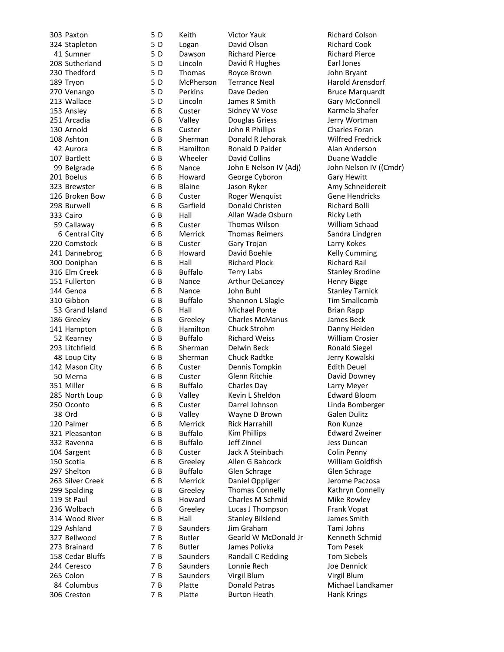|     | 303 Paxton                                   |
|-----|----------------------------------------------|
|     |                                              |
|     | 324 Stapleton                                |
|     | 41 Sumner                                    |
|     | 208 Sutherland                               |
|     | 230 Thedford                                 |
|     | 189 Tryon                                    |
|     | 270 Venango                                  |
|     | 213 Wallace                                  |
|     | 153 Ansley                                   |
|     | 251 Arcadia                                  |
|     |                                              |
|     | 130 Arnold                                   |
|     | 108 Ashton                                   |
|     | 42 Aurora                                    |
|     | 107 Bartlett                                 |
|     | 99 Belgrade                                  |
|     |                                              |
|     |                                              |
|     | 201 Boelus<br>323 Brewster<br>126 Broken Bow |
|     | 298 Burwell                                  |
|     | 333 Cairo                                    |
|     | 59 Callaway                                  |
|     |                                              |
|     | 6 Central City                               |
|     | 220 Comstock                                 |
|     | 241 Dannebrog                                |
|     | 300 Doniphan                                 |
|     | 316 Elm Creek                                |
|     | 151 Fullerton                                |
|     | 144 Genoa                                    |
|     | 310 Gibbon                                   |
|     | 53 Grand Island                              |
|     |                                              |
|     |                                              |
|     | 186 Greeley                                  |
|     | 141 Hampton                                  |
|     | 52 Kearney                                   |
|     | 293 Litchfield                               |
|     | 48 Loup City                                 |
|     | 142 Mason City                               |
|     | 50 Merna                                     |
|     |                                              |
|     | 351 Miller                                   |
| 285 | North Loup                                   |
|     | 250 Oconto                                   |
|     |                                              |
|     |                                              |
|     | 38 Ord<br>120 Palmer<br>321 Pleasanton       |
|     | 332 Ravenna                                  |
|     | 104 Sargent                                  |
|     | 150 Scotia                                   |
|     | 297 Shelton                                  |
|     | 263 Silver Creek                             |
|     |                                              |
|     | 299 Spalding                                 |
|     | 119 St Paul                                  |
|     | 236 Wolbach                                  |
|     | 314 Wood River                               |
|     | 129 Ashland                                  |
|     | 327 Bellwood                                 |
|     | 273 Brainard                                 |
|     | ---<br>158 Cedar Bluffs                      |
|     | 244 Ceresco                                  |
|     | 265 Colon                                    |
|     | 84 Columbus                                  |

7 B

Keith Victor Yauk Richard Colson Logan David Olson Richard Cook Dawson Richard Pierce Richard Pierce Lincoln David R Hughes Earl Jones Thomas Royce Brown John Bryant McPherson Terrance Neal Harold Arensdorf Perkins Dave Deden Bruce Marquardt Lincoln James R Smith Gary McConnell Custer Sidney W Vose Karmela Shafer Valley Douglas Griess Derry Wortman Custer John R Phillips Charles Foran B Sherman Donald R Jehorak Wilfred Fredrick Hamilton Ronald D Paider **Alan Anderson** Wheeler David Collins **Duane Waddle** Nance John E Nelson IV (Adj) John Nelson IV ((Cmdr) Howard George Cyboron Gary Hewitt Blaine Jason Ryker Amy Schneidereit Custer Roger Wenquist Gene Hendricks Garfield Donald Christen Richard Bolli B Hall Allan Wade Osburn Ricky Leth Custer Thomas Wilson William Schaad Merrick Thomas Reimers Sandra Lindgren Custer Gary Trojan Larry Kokes Howard David Boehle **Kelly Cumming** Hall Richard Plock Richard Rail Buffalo Terry Labs Stanley Brodine Nance Arthur DeLancey Henry Bigge Nance John Buhl Stanley Tarnick Buffalo Shannon L Slagle Tim Smallcomb Hall Michael Ponte Brian Rapp B Greeley Charles McManus James Beck Hamilton Chuck Strohm Danny Heiden Buffalo Richard Weiss William Crosier Sherman Delwin Beck **Ronald Siegel**<br>Sherman Chuck Radtke **Roman Berk Berk Kowalsk**i Chuck Radtke Jerry Kowalski Custer Dennis Tompkin Edith Deuel Custer Glenn Ritchie David Downey B Buffalo Charles Day Larry Meyer Valley Kevin L Sheldon Edward Bloom B Custer Darrel Johnson Linda Bomberger Valley Wayne D Brown Galen Dulitz Merrick Rick Harrahill Ron Kunze Buffalo Kim Phillips **Edward Zweiner** Buffalo Jeff Zinnel Jess Duncan Custer Jack A Steinbach Colin Penny Greeley Allen G Babcock William Goldfish Buffalo Glen Schrage Glen Schrage Merrick Daniel Oppliger Jerome Paczosa Greeley Thomas Connelly Kathryn Connelly Howard Charles M Schmid Mike Rowley Greeley Lucas J Thompson Frank Vopat B Hall Stanley Bilslend James Smith Saunders Jim Graham Tami Johns Butler Gearld W McDonald Jr Kenneth Schmid Butler James Polivka Tom Pesek Saunders Randall C Redding Tom Siebels<br>Saunders Lonnie Rech Saunders Doe Dennick Lonnie Rech Joe Dennick Saunders Virgil Blum Virgil Blum Platte Donald Patras **Michael Landkamer**<br> **Platte** Burton Heath Mank Krings Burton Heath Hank Krings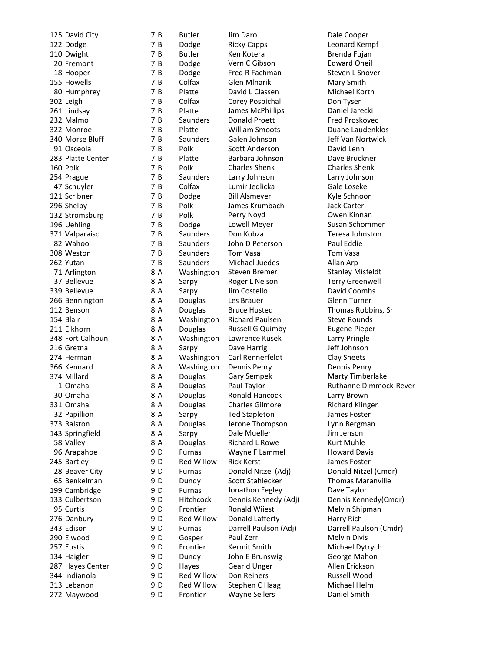|     | 125 David City                          |
|-----|-----------------------------------------|
|     | 122 Dodge                               |
|     | 110 Dwight                              |
|     | 20 Fremont                              |
|     |                                         |
|     | 18 Hooper<br>155 Howells<br>80 Humphrey |
|     |                                         |
|     |                                         |
|     | 302 Leigh                               |
|     | 261 Lindsay                             |
|     | 232 Malmo                               |
|     | 322 Monroe                              |
|     | 340 Morse Bluff                         |
|     |                                         |
|     | 91 Osceola                              |
|     | 283 Platte Center                       |
|     | 160 Polk                                |
|     | 254 Prague                              |
|     |                                         |
|     | 47 Schuyler                             |
|     | 121 Scribner<br>296 Shelby              |
|     |                                         |
|     | 132 Stromsburg                          |
|     | 196 Uehling                             |
|     | 371 Valparaiso                          |
|     | 82 Wahoo                                |
|     |                                         |
|     | 308 Weston                              |
|     | 262 Yutan                               |
|     | 71 Arlington                            |
|     | 37 Bellevue                             |
|     |                                         |
|     | 339 Bellevue                            |
|     | 266 Bennington                          |
|     | 112 Benson<br>154 Blair<br>211 Elkhorn  |
|     |                                         |
|     |                                         |
|     | 348 Fort Calhoun                        |
|     | 216 Gretna                              |
|     |                                         |
|     |                                         |
|     | 274 Herman                              |
|     | 366 Kennard                             |
|     |                                         |
|     | 374 Millard                             |
|     | 1 Omaha                                 |
|     | 30 Omaha                                |
| 331 | Omaha                                   |
|     | 32 Papillion                            |
|     |                                         |
|     | 373 Ralston                             |
| 143 | Springfield                             |
| 58  | Valley                                  |
| 96  | Arapahoe                                |
|     | 245 Bartley                             |
|     | 28 Beaver City                          |
|     | 65 Benkelman                            |
|     |                                         |
|     | 199 Cambridge                           |
|     | 133 Culbertson                          |
|     | 95 Curtis                               |
|     | 276 Danbury                             |
|     | 343 Edison                              |
|     |                                         |
|     | 290 Elwood                              |
|     | 257 Eustis                              |
|     | 134 Haigler                             |
|     | 287 Hayes Center                        |
|     | 344 Indianola                           |
|     | 313 Lebanon<br>272 Maywood              |

| Jim Daro                          |
|-----------------------------------|
| <b>Ricky Capps</b>                |
| Ken Kotera                        |
| Vern C Gibson                     |
| Fred R Fachma                     |
| <b>Glen Mlnarik</b>               |
| David L Classer                   |
| Corey Pospich                     |
| James McPhilli                    |
| <b>Donald Proett</b>              |
| <b>William Smoot</b>              |
| Galen Johnson                     |
| Scott Anderso                     |
| Barbara Johns                     |
| <b>Charles Shenk</b>              |
| Larry Johnson                     |
| Lumir Jedlicka                    |
| <b>Bill Alsmeyer</b>              |
| James Krumba                      |
| Perry Noyd                        |
| Lowell Meyer                      |
| Don Kobza                         |
| John D Peterso                    |
| <b>Tom Vasa</b>                   |
| Michael Juede                     |
| Steven Bremer                     |
| Roger L Nelsor                    |
| Jim Costello                      |
| Les Brauer                        |
| <b>Bruce Husted</b>               |
| <b>Richard Paulse</b>             |
| Russell G Quin                    |
| Lawrence Kuse                     |
| Dave Harrig                       |
| Carl Rennerfel                    |
| Dennis Penry                      |
| <b>Gary Sempek</b>                |
| Paul Taylor                       |
| Ronald Hanco                      |
| Charles Gilmoi                    |
| <b>Ted Stapleton</b>              |
| Jerone Thomp                      |
|                                   |
|                                   |
| Dale Mueller                      |
| Richard L Row                     |
| Wayne F Lamr<br><b>Rick Kerst</b> |
|                                   |
| Donald Nitzel<br>Scott Stahleck   |
| Jonathon Fegle                    |
| Dennis Kenned                     |
| <b>Ronald Wiiest</b>              |
| Donald Laffert                    |
| Darrell Paulsor                   |
| Paul Zerr                         |
| Kermit Smith                      |
| John E Brunsw                     |
| Gearld Unger                      |
| Don Reiners                       |
| Stephen C Haa                     |
|                                   |

7

7 B

7

7

7 B

7

7

7 B

7

7

7

7

7 B

7

7 B

7 B

7

7

7 B

7

7

7

7

7 B

7

8

8

8

8

8

8

8

8

8

8

8

8

8

8

8

8

8

8

8

9<sub>D</sub>

9<sub>D</sub>

9

9 D

9<sub>D</sub>

9

9<sub>D</sub>

9D

9 D

9 D

9

9<sub>D</sub>

9<sub>D</sub>

9

9 D

9 D

Dale Cooper Leonard Kempf Brenda Fujan n Edward Oneil an Steven L Snover Mary Smith en Michael Korth hal Don Tyser **Ilips Daniel Jarecki** B Saunders Donald Proett Fred Proskovec ots **Duane Laudenklos** on Saunders Jeff Van Nortwick on David Lenn son Dave Bruckner B Polk Charles Shenk Charles Shenk n Barry Johnson a Gale Loseke Kyle Schnoor ach Jack Carter **Owen Kinnan** r Busan Schommer Teresa Johnston son Paul Eddie Tom Vasa les Allan Arp er Stanley Misfeldt a Terry Greenwell David Coombs **Glenn Turner** A Douglas Bruce Husted Thomas Robbins, Sr A Steve Rounds **A Douglas Eugene Pieper** A Washington Larry Pringle A Sarpy Deff Johnson<br>Harrig Day Sheets Clay Sheets Dennis Penry Marty Timberlake Ruthanne Dimmock-Rever ock Larry Brown ore **Richard Klinger** n Sames Foster pson Lynn Bergman Jim Jenson **A** Rurt Muhle n Floward Davis James Foster D Furnas Donald Nitzel (Adj) Donald Nitzel (Cmdr) ker Thomas Maranville zley Dave Taylor edy (Adj) Dennis Kennedy (Cmdr) t **Eron Melvin Shipman** rty Barry Rich on (Adj) Darrell Paulson (Cmdr) Melvin Divis Michael Dytrych wig George Mahon Allen Erickson Russell Wood ang Michael Helm<br>
Stephen C Daniel Smith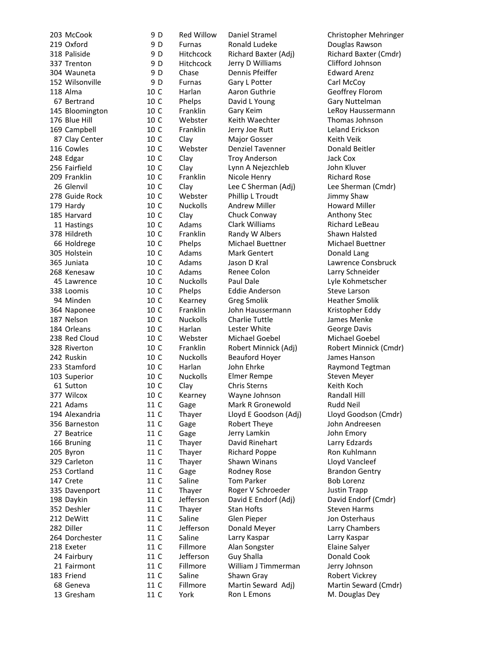| 203 McCook      | 9  |
|-----------------|----|
| 219 Oxford      | 9  |
| 318 Paliside    | 9  |
| 337 Trenton     | 9  |
| 304 Wauneta     | 9  |
|                 |    |
| 152 Wilsonville | 9  |
| 118 Alma        | 10 |
| 67 Bertrand     | 10 |
| 145 Bloomington | 10 |
| 176 Blue Hill   | 10 |
| 169 Campbell    | 10 |
|                 |    |
| 87 Clay Center  | 10 |
| 116 Cowles      | 10 |
| 248 Edgar       | 10 |
| 256 Fairfield   | 10 |
| 209 Franklin    | 10 |
| 26 Glenvil      | 10 |
| 278 Guide Rock  | 10 |
| 179 Hardy       | 10 |
|                 |    |
| 185 Harvard     | 10 |
| 11 Hastings     | 10 |
| 378 Hildreth    | 10 |
| 66 Holdrege     | 10 |
| 305 Holstein    | 10 |
| 365 Juniata     | 10 |
| 268 Kenesaw     | 10 |
|                 |    |
| 45 Lawrence     | 10 |
| 338 Loomis      | 10 |
| 94 Minden       | 10 |
| 364 Naponee     | 10 |
| 187 Nelson      | 10 |
| 184 Orleans     | 10 |
| 238 Red Cloud   | 10 |
| 328 Riverton    | 10 |
| 242 Ruskin      | 10 |
| 233 Stamford    | 10 |
|                 |    |
| 103 Superior    | 10 |
| 61 Sutton       | 10 |
| 377 Wilcox      | 10 |
| 221 Adams       | 11 |
| 194 Alexandria  | 11 |
| 356 Barneston   | 11 |
| 27 Beatrice     | 11 |
|                 | 11 |
| 166 Bruning     |    |
| 205 Byron       | 11 |
| 329 Carleton    | 11 |
| 253 Cortland    | 11 |
| 147 Crete       | 11 |
| 335 Davenport   | 11 |
| 198 Daykin      | 11 |
| 352 Deshler     | 11 |
|                 |    |
| 212 DeWitt      | 11 |
| 282 Diller      | 11 |
| 264 Dorchester  | 11 |
| 218 Exeter      | 11 |
| 24 Fairbury     | 11 |
| 21 Fairmont     | 11 |
| 183 Friend      | 11 |
| 68 Geneva       | 11 |
|                 |    |
| 13 Gresham      | 11 |

Furnas Ronald Ludeke **Douglas Rawson** D Hitchcock Jerry D Williams Clifford Johnson Chase Dennis Pfeiffer Edward Arenz Furnas Gary L Potter Carl McCoy Harlan Aaron Guthrie Geoffrey Florom 10 C Phelps David L Young Cary Nuttelman 10 C Franklin Gary Keim Care LeRoy Haussermann<br>10 C Webster Keith Waechter Thomas Johnson 10 C Webster Keith Waechter Thomas Johnson 10 C Franklin Jerry Joe Rutt Leland Erickson 10 C Clay Major Gosser Class Keith Veik<br>10 C Webster Denziel Tavenner Donald Beitler Denziel Tavenner 10 C Clay Troy Anderson Jack Cox 10 C Clay Lynn A Nejezchleb John Kluver<br>10 C Franklin Nicole Henry Nichard Rose Franklin Nicole Henry 10 C Clay Lee C Sherman (Adj) Lee Sherman (Cmdr) 10 C Webster Phillip L Troudt Jimmy Shaw 10 C Nuckolls Andrew Miller Howard Miller 10 C Clay Chuck Conway Anthony Stec 10 C Adams Clark Williams Richard LeBeau 10 C Franklin Randy W Albers Shawn Halsted 10 C Phelps Michael Buettner Michael Buettner<br>10 C Adams Mark Gentert Monald Lang Adams Mark Gentert **Donald Lang** 10 C Adams Jason D Kral Lawrence Consbruck 10 C Adams Renee Colon Larry Schneider<br>10 C Nuckolls Paul Dale State Richard Lyle Kohmetsche Nuckolls Paul Dale **Lyle Kohmetscher** 10 C Phelps Eddie Anderson Steve Larson 10 C Kearney Greg Smolik Heather Smolik 10 C Franklin John Haussermann Kristopher Eddy 10 C Nuckolls Charlie Tuttle James Menke 10 C Harlan Lester White George Davis C Webster Michael Goebel Michael Goebel Nuckolls Beauford Hoyer James Hanson 10 C Harlan John Ehrke **Raymond Tegtman** 10 C Nuckolls Elmer Rempe Steven Meyer<br>10 C Clav Chris Sterns Sterns Keith Koch Clay Chris Sterns Keith Koch 10 C Kearney Wayne Johnson Randall Hill 11 C Gage Mark R Gronewold Rudd Neil 11 C Thayer Lloyd E Goodson (Adj) Lloyd Goodson (Cmdr) 11 C Gage Robert Theye John Andreesen 11 C Gage Jerry Lamkin John Emory 11 C Thayer David Rinehart Larry Edzards 11 C Thayer Richard Poppe Ron Kuhlmann 11 C Thayer Shawn Winans Lloyd Vancleef 11 C Gage Rodney Rose Brandon Gentry 11 C Saline Tom Parker Bob Lorenz<br>11 C Thaver Roger V Schroeder Justin Trapp Thayer Roger V Schroeder Justin Trapp 11 C Jefferson David E Endorf (Adj) David Endorf (Cmdr) 11 C Thaver Stan Hofts Steven Harms 11 C Saline Glen Pieper Jon Osterhaus 11 C Jefferson Donald Meyer Larry Chambers 11 C Saline Larry Kaspar Larry Kaspar 11 C Fillmore Alan Songster Elaine Salyer 11 C Jefferson Guy Shalla **Donald Cook**<br>11 C Fillmore William J Timmerman Jerry Johnsor 11 C Fillmore William J Timmerman Jerry Johnson 11 C Saline Shawn Gray Shawn Robert Vickrey

9 D

9 D

9 D

9 D

9<sub>D</sub>

9 D<br>10 C

Red Willow Daniel Stramel and Christopher Mehringer<br>
Ronald Ludeke Christopher Mehringer Hitchcock Richard Baxter (Adj) Richard Baxter (Cmdr) 10 C Franklin Robert Minnick (Adj) Robert Minnick (Cmdr)<br>10 C Nuckolls Beauford Hover James Hanson 11 C Fillmore Martin Seward Adj) Martin Seward (Cmdr)<br>11 C York Ron L Emons M. Douglas Dey York Ron L Emons M. Douglas Dey